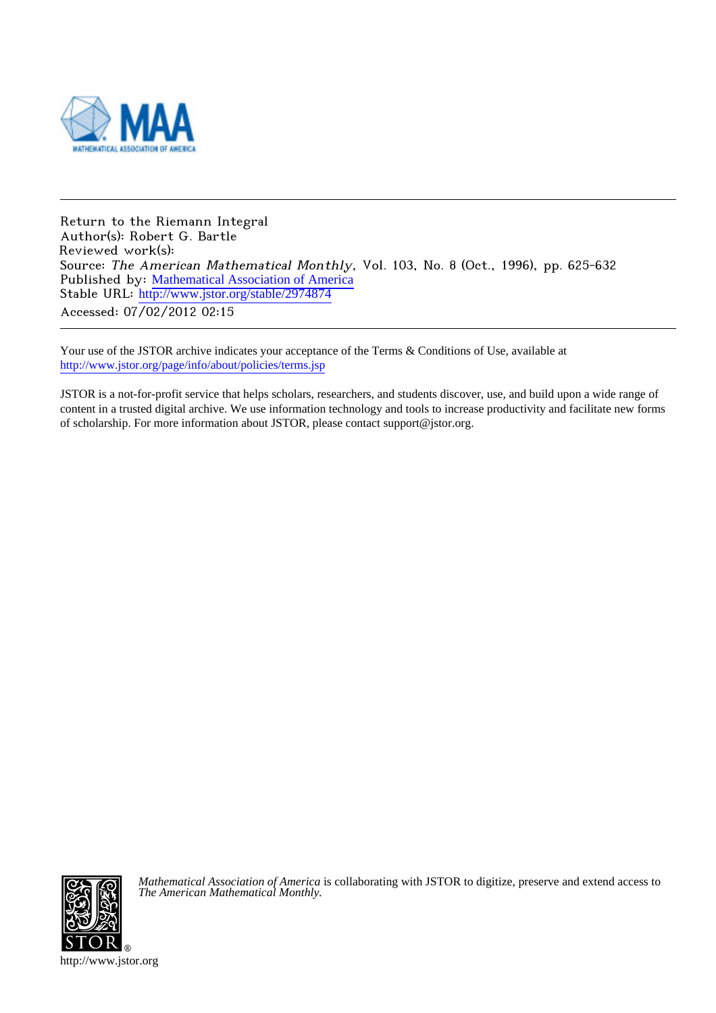

Return to the Riemann Integral Author(s): Robert G. Bartle Reviewed work(s): Source: The American Mathematical Monthly, Vol. 103, No. 8 (Oct., 1996), pp. 625-632 Published by: [Mathematical Association of America](http://www.jstor.org/action/showPublisher?publisherCode=maa) Stable URL: [http://www.jstor.org/stable/2974874](http://www.jstor.org/stable/2974874?origin=JSTOR-pdf) Accessed: 07/02/2012 02:15

Your use of the JSTOR archive indicates your acceptance of the Terms & Conditions of Use, available at <http://www.jstor.org/page/info/about/policies/terms.jsp>

JSTOR is a not-for-profit service that helps scholars, researchers, and students discover, use, and build upon a wide range of content in a trusted digital archive. We use information technology and tools to increase productivity and facilitate new forms of scholarship. For more information about JSTOR, please contact support@jstor.org.



*Mathematical Association of America* is collaborating with JSTOR to digitize, preserve and extend access to *The American Mathematical Monthly.*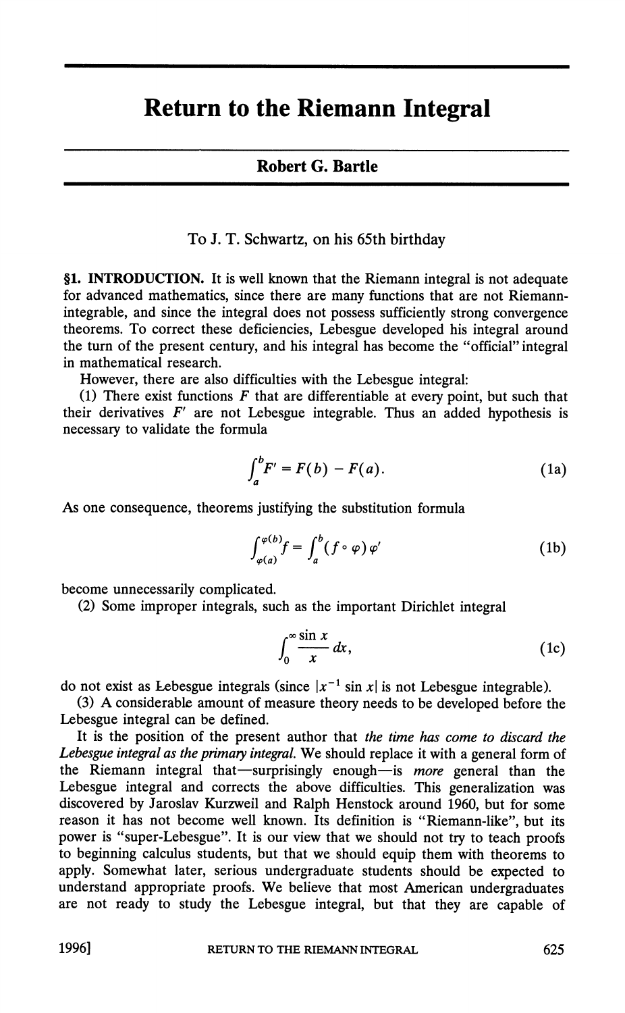## **Return to the Riemann Integral**

## **Robert G. Bartle**

**To J. T. Schwartz, on his 65th birthday** 

**§1. INTRODUCTION. It is well known that the Riemann integral is not adequate for advanced mathematics, since there are many functions that are not Riemannintegrable, and since the integral does not possess sufficiently strong convergence theorems. To correct these deficiencies, Lebesgue developed his integral around the turn of the present century, and his integral has become the "official" integral in mathematical research.** 

**However, there are also difficulties with the Lebesgue integral:** 

**(1) There exist functions F that are differentiable at every point, but such that**  their derivatives  $F'$  are not Lebesgue integrable. Thus an added hypothesis is **necessary to validate the formula** 

$$
\int_{a}^{b} F' = F(b) - F(a). \tag{1a}
$$

**As one consequence, theorems justifying the substitution formula** 

$$
\int_{\varphi(a)}^{\varphi(b)} f = \int_{a}^{b} (f \circ \varphi) \varphi' \tag{1b}
$$

**become unnecessarily complicated.** 

**(2) Some improper integrals, such as the important Dirichlet integral** 

$$
\int_0^\infty \frac{\sin x}{x} \, dx,\tag{1c}
$$

do not exist as Lebesgue integrals (since  $|x^{-1} \sin x|$  is not Lebesgue integrable).

**(3) A considerable amount of measure theory needs to be developed before the Lebesgue integral can be defined.** 

**It is the position of the present author that the time has come to discard the**  Lebesgue integral as the primary integral. We should replace it with a general form of the Riemann integral that—surprisingly enough—is more general than the **Lebesgue integral and corrects the above difficulties. This generalization was discovered by Jaroslav Kurzweil and Ralph Henstock around 1960, but for some reason it has not become well known. Its definition is "Riemann-like", but its power is "super-Lebesgue". It is our view that we should not try to teach proofs to beginning calculus students, but that we should equip them with theorems to apply. Somewhat later, serious undergraduate students should be expected to understand appropriate proofs. We believe that most American undergraduates are not ready to study the Lebesgue integral, but that they are capable of** 

**I** 

**1996] RETURN TO THE RIEMANN INTEGRAL**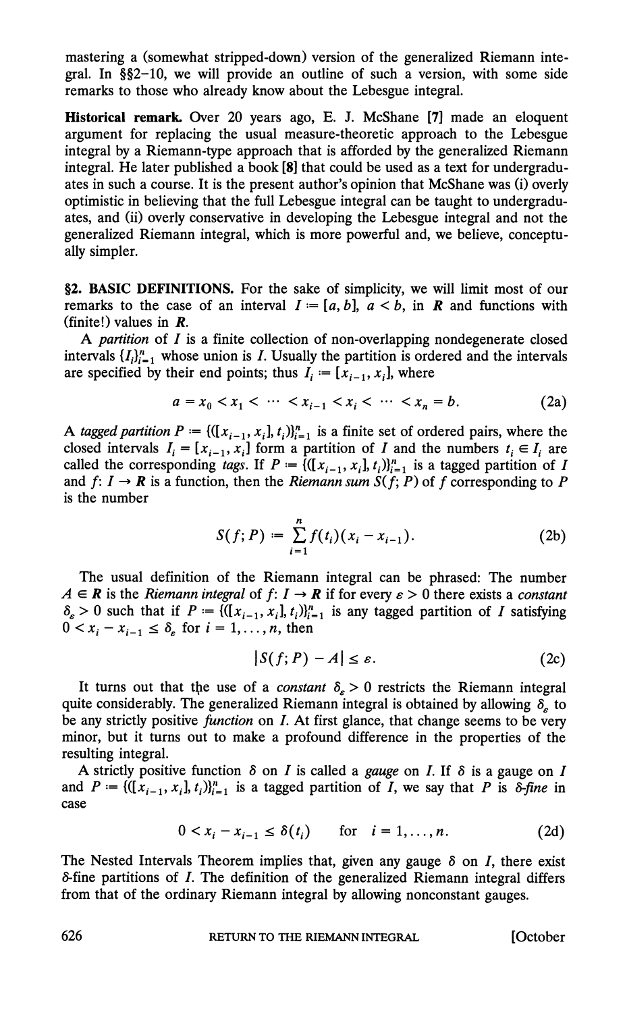**mastering a (somewhat stripped-down) version of the generalized Riemann integral. In §§2-10, we will provide an outline of such a version, with some side remarks to those who already know about the Lebesgue integral.** 

**Historical remark Over 20 years ago, E. J. McShane [7] made an eloquent argument for replacing the usual measure-theoretic approach to the Lebesgue integral by a Riemann-type approach that is afforded by the generalized Riemann integral. He later published a book [8] that could be used as a text for undergraduates in such a course. It is the present author's opinion that McShane was (i) overly optimistic in believing that the full Lebesgue integral can be taught to undergraduates, and (ii) overly conservative in developing the Lebesgue integral and not the generalized Riemann integral, which is more powerful and, we believe, conceptually simpler.** 

**§2. BASIC DEFINITIONS. For the sake of simplicity, we will limit most of our remarks to the case of an interval**  $I = [a, b]$ **,**  $a < b$ **, in <b>R** and functions with **(finite!) values in R.** 

**A partition of I is a finite collection of non-overlapping nondegenerate closed**  intervals  $\{I_i\}_{i=1}^n$  whose union is *I*. Usually the partition is ordered and the intervals are specified by their end points; thus  $I_i := [x_{i-1}, x_i]$ , where

$$
a = x_0 < x_1 < \dots < x_{i-1} < x_i < \dots < x_n = b. \tag{2a}
$$

A tagged partition  $P = \{([x_{i-1}, x_i], t_i)\}_{i=1}^n$  is a finite set of ordered pairs, where the closed intervals  $I_i = [x_{i-1}, x_i]$  form a partition of I and the numbers  $t_i \in I_i$  are called the corresponding *tags*. If  $P = \{([x_{i-1}, x_i], t_i)\}_{i=1}^n$  is a tagged partition of I and  $f: I \rightarrow \mathbb{R}$  is a function, then the *Riemann sum*  $S(f; P)$  of f corresponding to P **is the number** 

$$
S(f; P) := \sum_{i=1}^{n} f(t_i)(x_i - x_{i-1}).
$$
 (2b)

**The usual definition of the Riemann integral can be phrased: The number**   $A \in \mathbb{R}$  is the Riemann integral of  $f: I \to \mathbb{R}$  if for every  $\varepsilon > 0$  there exists a constant  $\delta_{\varepsilon} > 0$  such that if  $P = \{([x_{i-1}, x_i], t_i)\}_{i=1}^n$  is any tagged partition of I satisfying  $0 \lt x_i - x_{i-1} \leq \delta$  for  $i = 1, \ldots, n$ , then

$$
|S(f;P)-A|\leq \varepsilon.\tag{2c}
$$

It turns out that the use of a *constant*  $\delta_{\epsilon} > 0$  restricts the Riemann integral **quite considerably. The generalized Riemann integral is obtained by allowing**  $\delta$ **, to be any strictly positive function on I. At first glance, that change seems to be very minor, but it turns out to make a profound difference in the properties of the resulting integral.** 

**A** strictly positive function  $\delta$  on I is called a *gauge* on I. If  $\delta$  is a gauge on I and  $P := \{(\vec{x}_{i-1}, x_i], t_i\}_{i=1}^n$  is a tagged partition of *I*, we say that *P* is  $\delta$ -fine in **case** 

$$
0 < x_i - x_{i-1} \le \delta(t_i) \qquad \text{for} \quad i = 1, \dots, n. \tag{2d}
$$

The Nested Intervals Theorem implies that, given any gauge  $\delta$  on I, there exist **&fine partitions of I. The definition of the generalized Riemann integral differs from that of the ordinary Riemann integral by allowing nonconstant gauges.** 

**626 RETURN TO THE RIEMANN INTEGRAL [October**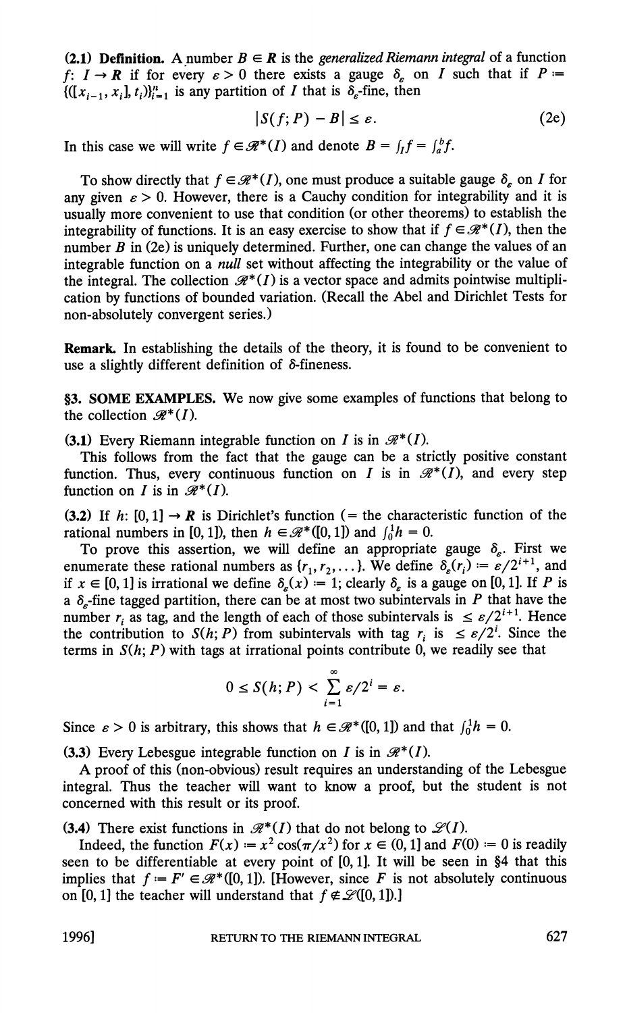**(2.1) Definition.** A number  $B \in \mathbb{R}$  is the *generalized Riemann integral* of a function  $f: I \rightarrow \mathbb{R}$  if for every  $\varepsilon > 0$  there exists a gauge  $\delta_{\varepsilon}$  on I such that if  $P =$  $\{([x_{i-1}, x_i], t_i)\}_{i=1}^n$  is any partition of I that is  $\delta_{\varepsilon}$ -fine, then

$$
|S(f;P)-B| \leq \varepsilon. \tag{2e}
$$

In this case we will write  $f \in \mathcal{R}^*(I)$  and denote  $B = \int_I f = \int_a^b f$ .

To show directly that  $f \in \mathcal{R}^*(I)$ , one must produce a suitable gauge  $\delta_{\epsilon}$  on I for any given  $\epsilon > 0$ . However, there is a Cauchy condition for integrability and it is **usually more convenient to use that condition (or other theorems) to establish the integrability of functions.** It is an easy exercise to show that if  $f \in \mathcal{R}^*(I)$ , then the **number B in (2e) is uniquely determined. Further, one can change the values of an integrable function on a null set without affecting the integrability or the value of**  the integral. The collection  $\mathcal{R}^*(I)$  is a vector space and admits pointwise multipli**cation by functions of bounded variation. (Recall the Abel and Dirichlet Tests for non-absolutely convergent series.) (2.1) Definition.** A number  $B \in \mathbb{R}$  is the generalized Riemann integral of a function  $f: I \rightarrow \mathbb{R}$  if for every  $s > 0$  there exists a gauge  $\delta_s$  on  $I$  such that if  $P := \left| \int (f; P) - B \right| \leq s$ . (2e) In this case we wil

**Remark In establishing the details of the theory, it is found to be convenient to use a slightly different definition of 8-fineness.** 

**§3. SOME EXAMPLES. We now give some examples of functions that belong to**  the collection  $\mathcal{R}^*(I)$ .

**(3.1)** Every Riemann integrable function on I is in  $\mathcal{R}^*(I)$ .

**This follows from the fact that the gauge can be a strictly positive constant**  function. Thus, every continuous function on I is in  $\mathcal{R}^*(I)$ , and every step function on *I* is in  $\mathcal{R}^*(I)$ .

To prove this assertion, we will define an appropriate gauge  $\delta_{\varepsilon}$ . First we enumerate these rational numbers as  $\{r_1, r_2, \ldots\}$ . We define  $\delta_{\varepsilon}(r_i) = \varepsilon/2^{i+1}$ , and if  $x \in [0,1]$  is irrational we define  $\delta_{\epsilon}(x) = 1$ ; clearly  $\delta_{\epsilon}$  is a gauge on [0,1]. If P is a  $\delta_{\epsilon}$ -fine tagged partition, there can be at most two subintervals in P that have the number  $r_i$  as tag, and the length of each of those subintervals is  $\leq \frac{\varepsilon}{2^{i+1}}$ . Hence the contribution to  $S(h; P)$  from subintervals with tag  $r_i$  is  $\leq \varepsilon/2^i$ . Since the terms in  $S(h; P)$  with tags at irrational points contribute 0, we readily see that

$$
0\leq S(h;P)<\sum_{i=1}^\infty \varepsilon/2^i=\varepsilon.
$$

Since  $\varepsilon > 0$  is arbitrary, this shows that  $h \in \mathcal{R}^*([0, 1])$  and that  $\int_0^1 h = 0$ .

**(3.3)** Every Lebesgue integrable function on I is in  $\mathcal{R}^*(I)$ .

**A proof of this (non-obvious) result requires an understanding of the Lebesgue integral. Thus the teacher will want to know a proof, but the student is not concerned with this result or its proof.** 

**(3.4)** There exist functions in  $\mathcal{R}^*(I)$  that do not belong to  $\mathcal{L}(I)$ .

Indeed, the function  $F(x) = x^2 \cos(\pi/x^2)$  for  $x \in (0,1]$  and  $F(0) = 0$  is readily **seen to be differentiable at every point of [0,1]. It will be seen in §4 that this**  implies that  $f = F' \in \mathcal{R}^*([0, 1])$ . [However, since F is not absolutely continuous on [0, 1] the teacher will understand that  $f \notin \mathcal{L}([0, 1])$ .]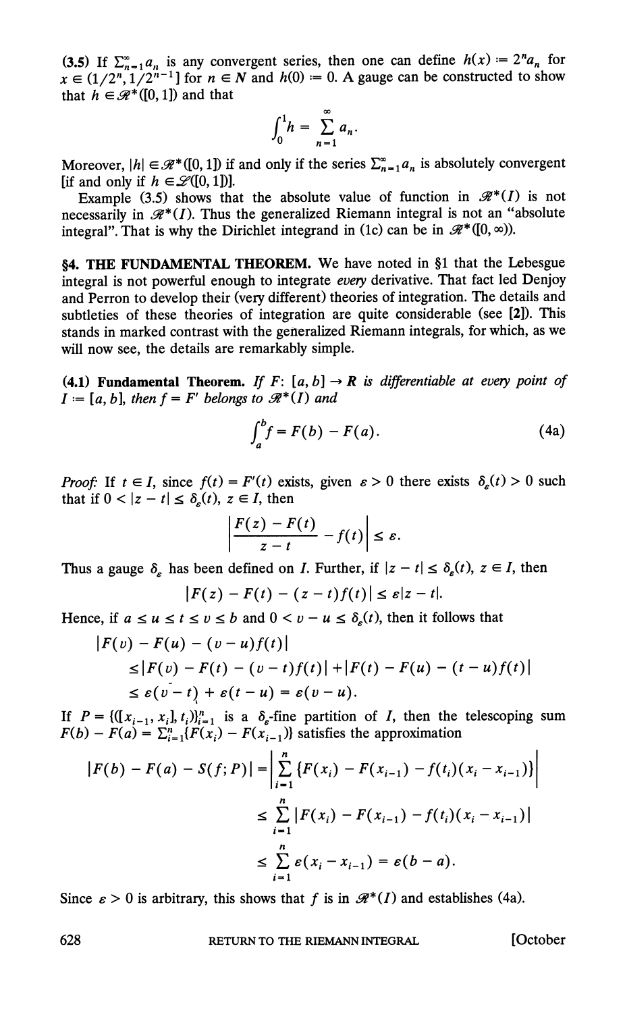**(3.5)** If  $\sum_{n=1}^{\infty} a_n$  is any convergent series, then one can define  $h(x) = 2^n a_n$  for  $x \in (1/2^n, 1/2^{n-1}]$  for  $n \in \mathbb{N}$  and  $h(0) = 0$ . A gauge can be constructed to show **that**  $h \in \mathcal{R}^*([0,1])$  and that

$$
\int_0^1 h = \sum_{n=1}^\infty a_n.
$$

Moreover,  $|h| \in \mathcal{R}^*([0, 1])$  if and only if the series  $\sum_{n=1}^{\infty} a_n$  is absolutely convergent **[if and only if**  $h \in \mathcal{L}([0, 1])$ ].

**Example (3.5) shows that the absolute value of function in**  $\mathcal{R}^*(I)$  **is not** necessarily in  $\mathcal{R}^*(I)$ . Thus the generalized Riemann integral is not an "absolute" integral". That is why the Dirichlet integrand in (1c) can be in  $\mathcal{R}^*(0, \infty)$ ).

**§4. THE FUNDAMENTAL THEOREM. We have noted in §1 that the Lebesgue**  integral is not powerful enough to integrate every derivative. That fact led Denjoy **and Perron to develop their (very different) theories of integration. The details and subtleties of these theories of integration are quite considerable (see [2]). This**  stands in marked contrast with the generalized Riemann integrals, for which, as we **will now see, the details are remarkably simple.** 

**(4.1) Fundamental Theorem.** If  $F: [a, b] \to \mathbb{R}$  is differentiable at every point of  $I := [a, b]$ , then  $f = F'$  belongs to  $\mathcal{R}^*(I)$  and

$$
\int_{a}^{b} f = F(b) - F(a). \tag{4a}
$$

**Proof:** If  $t \in I$ , since  $f(t) = F'(t)$  exists, given  $\varepsilon > 0$  there exists  $\delta_{\varepsilon}(t) > 0$  such that if  $0 < |z - t| \le \delta_{\epsilon}(t), z \in I$ , then

$$
\left|\frac{F(z)-F(t)}{z-t}-f(t)\right|\leq \varepsilon.
$$

Thus a gauge  $\delta_{\varepsilon}$  has been defined on *I*. Further, if  $|z - t| \leq \delta_{\varepsilon}(t)$ ,  $z \in I$ , then

$$
|F(z)-F(t)-(z-t)f(t)|\leq \varepsilon|z-t|.
$$

Hence, if  $a \le u \le t \le v \le b$  and  $0 \le v - u \le \delta_{\epsilon}(t)$ , then it follows that

$$
|F(v) - F(u) - (v - u)f(t)|
$$
  
\n
$$
\leq |F(v) - F(t) - (v - t)f(t)| + |F(t) - F(u) - (t - u)f(t)|
$$
  
\n
$$
\leq \varepsilon (v - t) + \varepsilon (t - u) = \varepsilon (v - u).
$$

If  $P = \{([x_{i-1}, x_i], t_i)\}_{i=1}^n$  is a  $\delta_{\varepsilon}$ -fine partition of *I*, then the telescoping sum  $F(b) - F(a) = \sum_{i=1}^{n} {F(x_i) - F(x_{i-1})}$  satisfies the approximation

$$
|F(b) - F(a) - S(f; P)| = \left| \sum_{i=1}^{n} \{ F(x_i) - F(x_{i-1}) - f(t_i)(x_i - x_{i-1}) \} \right|
$$
  

$$
\leq \sum_{i=1}^{n} |F(x_i) - F(x_{i-1}) - f(t_i)(x_i - x_{i-1})|
$$
  

$$
\leq \sum_{i=1}^{n} \varepsilon(x_i - x_{i-1}) = \varepsilon(b - a).
$$

Since  $\varepsilon > 0$  is arbitrary, this shows that f is in  $\mathcal{R}^*(I)$  and establishes (4a).

**628 RETURN TO THE RIEMANN INTEGRAL [October**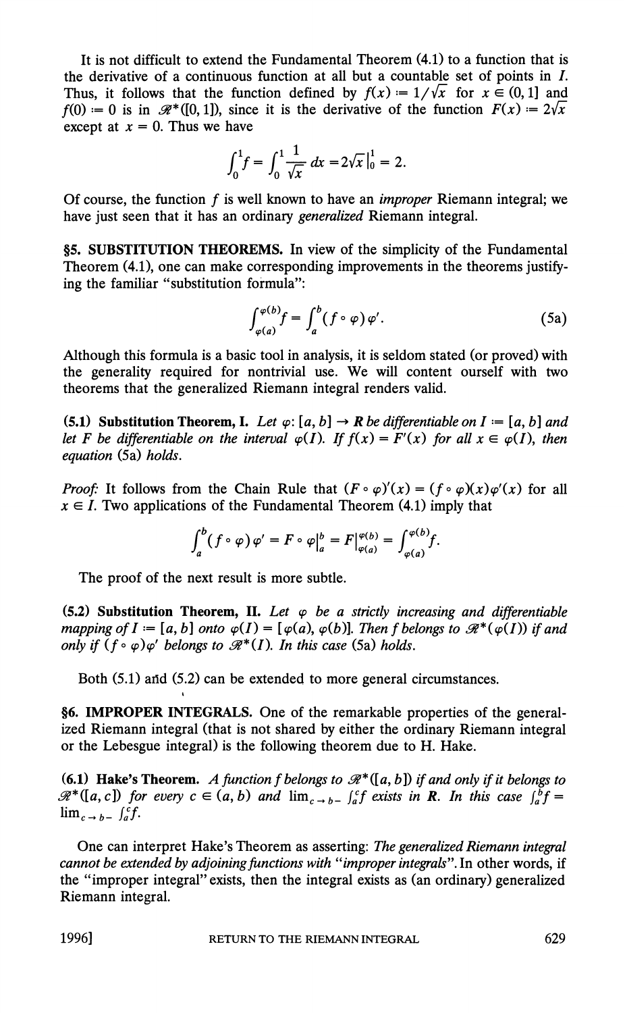**It is not difficult to extend the Fundamental Theorem (4.1) to a function that is the derivative of a continuous function at all but a countable set of points in I.**  Thus, it follows that the function defined by  $f(x) = 1/\sqrt{x}$  for  $x \in (0,1]$  and  $f(0) = 0$  is in  $\mathcal{R}^*([0, 1])$ , since it is the derivative of the function  $F(x) = 2\sqrt{x}$ except at  $x = 0$ . Thus we have

$$
\int_0^1 f = \int_0^1 \frac{1}{\sqrt{x}} dx = 2\sqrt{x}\Big|_0^1 = 2.
$$

**Of course, the function f is well known to have an improper Riemann integral; we have just seen that it has an ordinary generalized Riemann integral.** 

**§5. SUBSTITUTION THEOREMS.** In view of the simplicity of the Fundamental **Theorem (4.1), one can make corresponding improvements in the theorems justifying the familiar "substitution formula":** 

$$
\int_{\varphi(a)}^{\varphi(b)} f = \int_{a}^{b} (f \circ \varphi) \varphi'.
$$
 (5a)

**Although this formula is a basic tool in analysis, it is seldom stated (or proved) with the generality required for nontrivial use. We will content ourself with two theorems that the generalized Riemann integral renders valid.** 

(5.1) Substitution Theorem, I. Let  $\varphi$ : [a, b]  $\rightarrow$  R be differentiable on I := [a, b] and let F be differentiable on the interval  $\varphi(I)$ . If  $f(x) = F'(x)$  for all  $x \in \varphi(I)$ , then **equation (Sa) holds.** 

**Proof:** It follows from the Chain Rule that  $(F \circ \varphi)'(x) = (f \circ \varphi)(x) \varphi'(x)$  for all  $x \in I$ . Two applications of the Fundamental Theorem (4.1) imply that

$$
\int_a^b (f \circ \varphi) \varphi' = F \circ \varphi \big|_a^b = F \big|_{\varphi(a)}^{\varphi(b)} = \int_{\varphi(a)}^{\varphi(b)} f.
$$

**The proof of the next result is more subtle.** 

**(5.2) Substitution Theorem, II.** Let  $\varphi$  be a strictly increasing and differentiable mapping of  $I := [a, b]$  onto  $\varphi(I) = [\varphi(a), \varphi(b)]$ . Then f belongs to  $\mathcal{R}^*(\varphi(I))$  if and only if  $(f \circ \varphi) \varphi'$  belongs to  $\mathcal{R}^*(I)$ . In this case (5a) holds.

**Both (S.1) and (5.2) can be extended to more general circumstances.** 

**§6. IMPROPER INTEGRALS. One of the remarkable properties of the generalized Riemann integral (that is not shared by either the ordinary Riemann integral or the Lebesgue integral) is the following theorem due to H. Hake.** 

**(6.1) Hake's Theorem.** A function f belongs to  $\mathcal{R}^*([a, b])$  if and only if it belongs to  $\mathcal{R}^*$ ([a, c]) for every  $c \in (a, b)$  and  $\lim_{c \to b^-} \int_a^c f$  exists in **R**. In this case  $\int_a^b f =$  $\lim_{c \to b^-} \int_a^c f$ .

**One can interpret Hake's Theorem as asserting: The generalized Riemann integral cannot be extended by adjoining functions with "improper integrals". In other words, if the "improper integral" exists, then the integral exists as (an ordinary) generalized Riemann integral.** 

**1996] RETURN TO THE RIEMANN INTEGRAL 629**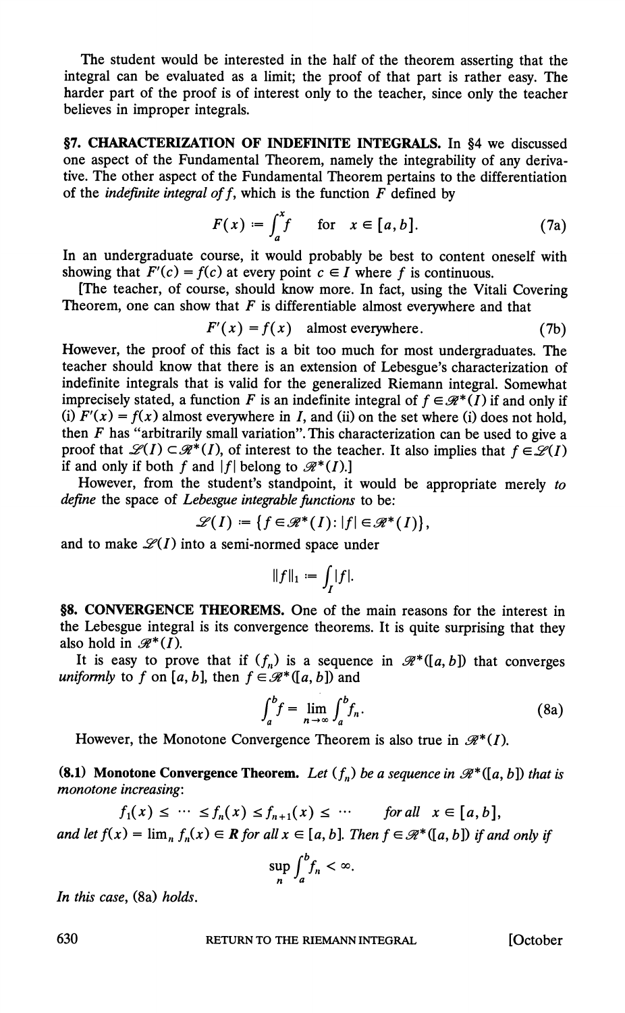**The student would be interested in the half of the theorem asserting that the integral can be evaluated as a limit; the proof of that part is rather easy. The harder part of the proof is of interest only to the teacher, since only the teacher believes in improper integrals.** 

§7. CHARACTERIZATION OF INDEFINITE INTEGRALS. In §4 we discussed **one aspect of the Fundamental Theorem, namely the integrability of any derivative. The other aspect of the Fundamental Theorem pertains to the differentiation**  of the *indefinite integral of f*, which is the function  $F$  defined by

$$
F(x) := \int_{a}^{x} f \quad \text{for} \quad x \in [a, b]. \tag{7a}
$$

**In an undergraduate course, it would probably be best to content oneself with**  showing that  $F'(c) = f(c)$  at every point  $c \in I$  where f is continuous.

**[The teacher, of course, should know more. In fact, using the Vitali Covering**  Theorem, one can show that  $F$  is differentiable almost everywhere and that

$$
F'(x) = f(x) \quad \text{almost everywhere.} \tag{7b}
$$

**However, the proof of this fact is a bit too much for most undergraduates. The teacher should know that there is an extension of Lebesgue's characterization of indefinite integrals that is valid for the generalized Riemann integral. Somewhat imprecisely stated, a function F is an indefinite integral of**  $f \in \mathcal{R}^*(I)$  **if and only if** (i)  $F'(x) = f(x)$  almost everywhere in I, and (ii) on the set where (i) does not hold, **then F has "arbitrarily small variation". This characterization can be used to give a proof that**  $\mathscr{L}(I) \subset \mathscr{R}^*(I)$ **, of interest to the teacher. It also implies that**  $f \in \mathscr{L}(I)$ **if and only if both f and**  $|f|$  **belong to**  $\mathcal{R}^*(I)$ .]

**However, from the student's standpoint, it would be appropriate merely to define the space of Lebesgue integrable functions to be:** 

$$
\mathscr{L}(I) := \{ f \in \mathscr{R}^*(I) : |f| \in \mathscr{R}^*(I) \},\
$$

and to make  $\mathscr{L}(I)$  into a semi-normed space under

$$
\|f\|_1:=\int_I|f|.
$$

**§8. CONVERGENCE THEOREMS. One of the main reasons for the interest in the Lebesgue integral is its convergence theorems. It is quite surprising that they**  also hold in  $\mathcal{R}^*(I)$ .

It is easy to prove that if  $(f_n)$  is a sequence in  $\mathcal{R}^*([a,b])$  that converges *uniformly* to f on [a, b], then  $f \in \mathcal{R}^*([a, b])$  and

$$
\int_{a}^{b} f = \lim_{n \to \infty} \int_{a}^{b} f_{n}.
$$
 (8a)

However, the Monotone Convergence Theorem is also true in  $\mathcal{R}^*(I)$ .

**(8.1) Monotone Convergence Theorem.** Let  $(f_n)$  be a sequence in  $\mathcal{R}^*([a, b])$  that is **monotone increasing:** 

$$
f_1(x) \leq \cdots \leq f_n(x) \leq f_{n+1}(x) \leq \cdots \quad \text{for all} \quad x \in [a, b],
$$
  
and let  $f(x) = \lim_{n} f_n(x) \in \mathbb{R}$  for all  $x \in [a, b]$ . Then  $f \in \mathcal{R}^*([a, b])$  if and only if

$$
\sup_n \int_a^b f_n < \infty.
$$

**In this case, (8a) holds.** 

**RETURN TO THE RIEMANN INTEGRAL [October** 

630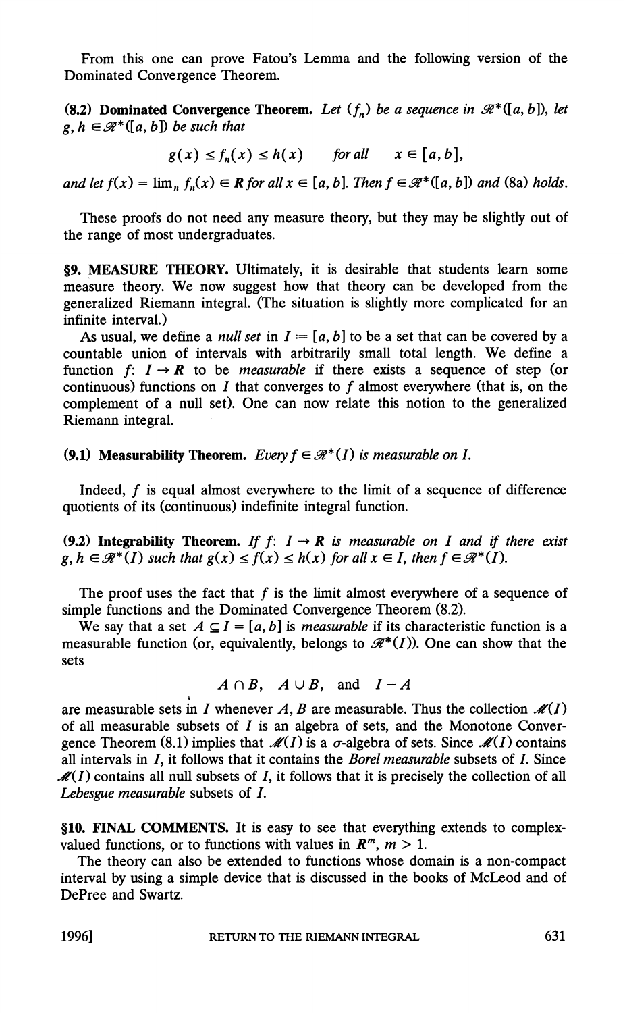**From this one can prove Fatou's Lemma and the following version of the Dominated Convergence Theorem.** 

**(8.2) Dominated Convergence Theorem.** Let  $(f_n)$  be a sequence in  $\mathcal{R}^*([a, b])$ , let  $g, h \in \mathcal{R}^*([a, b])$  be such that

$$
g(x) \le f_n(x) \le h(x) \quad \text{for all} \quad x \in [a, b],
$$

**and let**  $f(x) = \lim_{n} f_n(x) \in \mathbb{R}$  for all  $x \in [a, b]$ . Then  $f \in \mathcal{R}^*(a, b]$  and (8a) holds.

**These proofs do not need any measure theory, but they may be slightly out of the range of most undergraduates.** 

**§9. MEASURE THEORY. Ultimately, it is desirable that students learn some measure theory. We now suggest how that theory can be developed from the generalized Riemann integral. (The situation is slightly more complicated for an infinite interval.)** 

As usual, we define a *null set* in  $I = [a, b]$  to be a set that can be covered by a **countable union of intervals with arbitrarily small total length. We define a**  function f:  $I \rightarrow R$  to be *measurable* if there exists a sequence of step (or **continuous) functions on I that converges to f almost everywhere (that is, on the complement of a null set). One can now relate this notion to the generalized Riemann integral.** 

## **(9.1) Measurability Theorem.** Every  $f \in \mathcal{R}^*(I)$  is measurable on I.

**Indeed, f is equal almost everywhere to the limit of a sequence of difference quotients of its (continuous) indefinite integral function.** 

(9.2) Integrability Theorem. If  $f: I \rightarrow R$  is measurable on I and if there exist  $g, h \in \mathcal{R}^*(I)$  such that  $g(x) \le f(x) \le h(x)$  for all  $x \in I$ , then  $f \in \mathcal{R}^*(I)$ .

The proof uses the fact that  $f$  is the limit almost everywhere of a sequence of **simple functions and the Dominated Convergence Theorem (8.2).** 

We say that a set  $A \subseteq I = [a, b]$  is *measurable* if its characteristic function is a measurable function (or, equivalently, belongs to  $\mathcal{R}^*(I)$ ). One can show that the **sets** 

$$
A \cap B, \quad A \cup B, \quad \text{and} \quad I - A
$$

are measurable sets in I whenever A, B are measurable. Thus the collection  $\mathcal{M}(I)$ **of all measurable subsets of I is an algebra of sets, and the Monotone Conver**gence Theorem (8.1) implies that  $\mathcal{M}(I)$  is a  $\sigma$ -algebra of sets. Since  $\mathcal{M}(I)$  contains **all intervals in I, it follows that it contains the Borel measurable subsets of I. Since**   $\mathcal{M}(I)$  contains all null subsets of I, it follows that it is precisely the collection of all **Lebesgue measurable subsets of I.** 

**§10. HNAL COMMENTS. It is easy to see that everything extends to complex**valued functions, or to functions with values in  $\mathbb{R}^m$ ,  $m > 1$ .

**The theory can also be extended to functions whose domain is a non-compact interval by using a simple device that is discussed in the books of McLeod and of DePree and Swartz.**